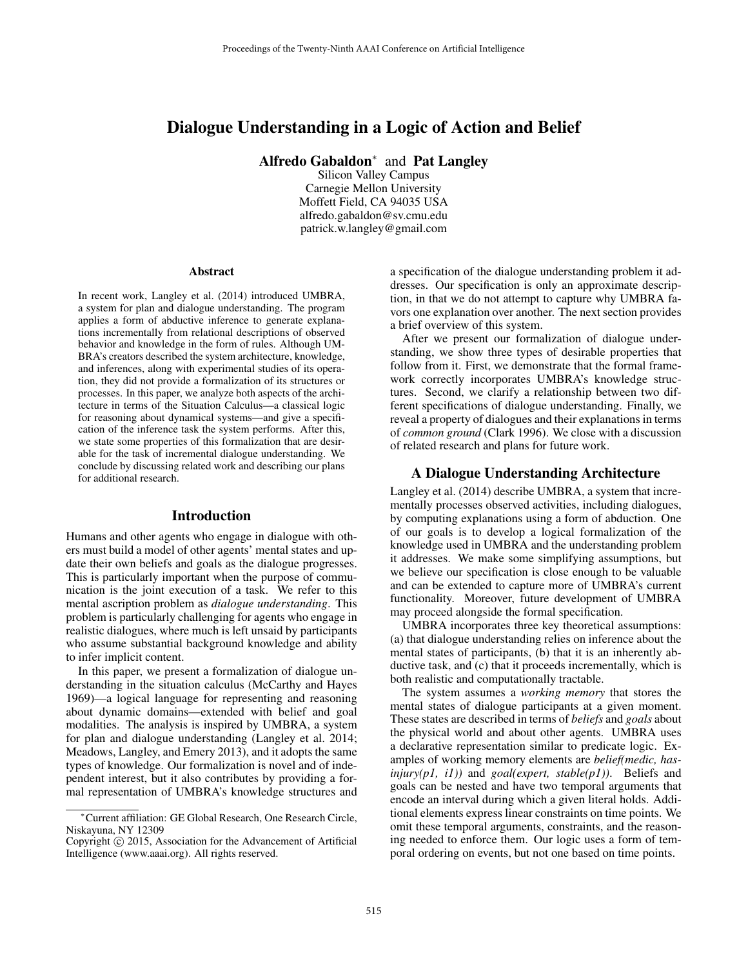# Dialogue Understanding in a Logic of Action and Belief

Alfredo Gabaldon<sup>\*</sup> and Pat Langley

Silicon Valley Campus Carnegie Mellon University Moffett Field, CA 94035 USA alfredo.gabaldon@sv.cmu.edu patrick.w.langley@gmail.com

#### Abstract

In recent work, Langley et al. (2014) introduced UMBRA, a system for plan and dialogue understanding. The program applies a form of abductive inference to generate explanations incrementally from relational descriptions of observed behavior and knowledge in the form of rules. Although UM-BRA's creators described the system architecture, knowledge, and inferences, along with experimental studies of its operation, they did not provide a formalization of its structures or processes. In this paper, we analyze both aspects of the architecture in terms of the Situation Calculus—a classical logic for reasoning about dynamical systems—and give a specification of the inference task the system performs. After this, we state some properties of this formalization that are desirable for the task of incremental dialogue understanding. We conclude by discussing related work and describing our plans for additional research.

## Introduction

Humans and other agents who engage in dialogue with others must build a model of other agents' mental states and update their own beliefs and goals as the dialogue progresses. This is particularly important when the purpose of communication is the joint execution of a task. We refer to this mental ascription problem as *dialogue understanding*. This problem is particularly challenging for agents who engage in realistic dialogues, where much is left unsaid by participants who assume substantial background knowledge and ability to infer implicit content.

In this paper, we present a formalization of dialogue understanding in the situation calculus (McCarthy and Hayes 1969)—a logical language for representing and reasoning about dynamic domains—extended with belief and goal modalities. The analysis is inspired by UMBRA, a system for plan and dialogue understanding (Langley et al. 2014; Meadows, Langley, and Emery 2013), and it adopts the same types of knowledge. Our formalization is novel and of independent interest, but it also contributes by providing a formal representation of UMBRA's knowledge structures and

a specification of the dialogue understanding problem it addresses. Our specification is only an approximate description, in that we do not attempt to capture why UMBRA favors one explanation over another. The next section provides a brief overview of this system.

After we present our formalization of dialogue understanding, we show three types of desirable properties that follow from it. First, we demonstrate that the formal framework correctly incorporates UMBRA's knowledge structures. Second, we clarify a relationship between two different specifications of dialogue understanding. Finally, we reveal a property of dialogues and their explanations in terms of *common ground* (Clark 1996). We close with a discussion of related research and plans for future work.

## A Dialogue Understanding Architecture

Langley et al. (2014) describe UMBRA, a system that incrementally processes observed activities, including dialogues, by computing explanations using a form of abduction. One of our goals is to develop a logical formalization of the knowledge used in UMBRA and the understanding problem it addresses. We make some simplifying assumptions, but we believe our specification is close enough to be valuable and can be extended to capture more of UMBRA's current functionality. Moreover, future development of UMBRA may proceed alongside the formal specification.

UMBRA incorporates three key theoretical assumptions: (a) that dialogue understanding relies on inference about the mental states of participants, (b) that it is an inherently abductive task, and (c) that it proceeds incrementally, which is both realistic and computationally tractable.

The system assumes a *working memory* that stores the mental states of dialogue participants at a given moment. These states are described in terms of *beliefs* and *goals* about the physical world and about other agents. UMBRA uses a declarative representation similar to predicate logic. Examples of working memory elements are *belief(medic, hasinjury(p1, i1))* and *goal(expert, stable(p1))*. Beliefs and goals can be nested and have two temporal arguments that encode an interval during which a given literal holds. Additional elements express linear constraints on time points. We omit these temporal arguments, constraints, and the reasoning needed to enforce them. Our logic uses a form of temporal ordering on events, but not one based on time points.

<sup>∗</sup>Current affiliation: GE Global Research, One Research Circle, Niskayuna, NY 12309

Copyright © 2015, Association for the Advancement of Artificial Intelligence (www.aaai.org). All rights reserved.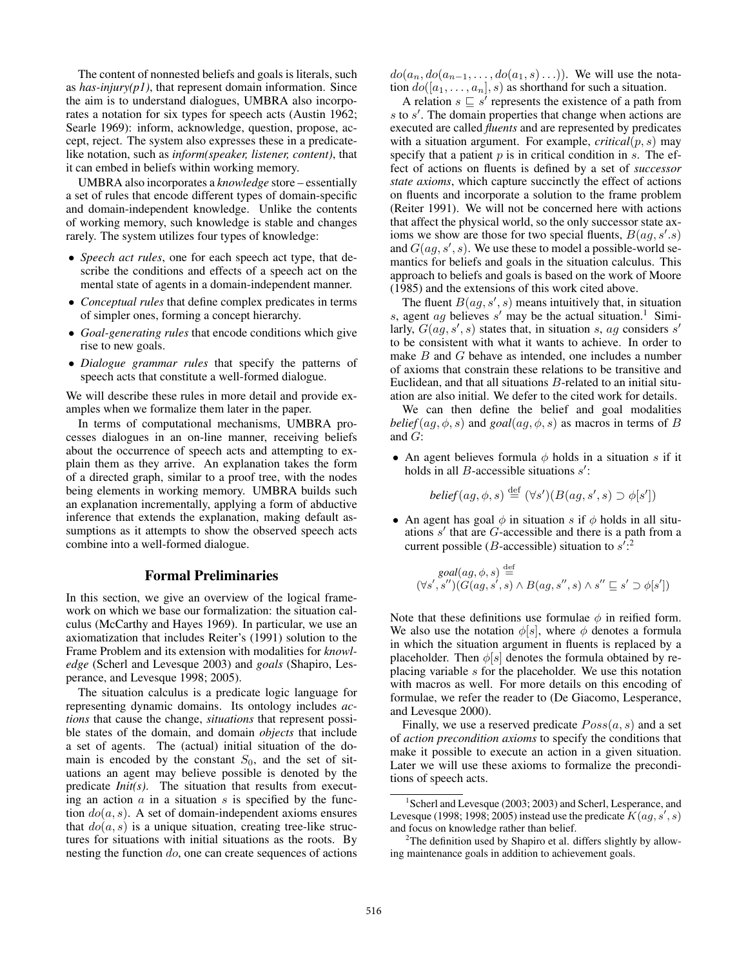The content of nonnested beliefs and goals is literals, such as *has-injury(p1)*, that represent domain information. Since the aim is to understand dialogues, UMBRA also incorporates a notation for six types for speech acts (Austin 1962; Searle 1969): inform, acknowledge, question, propose, accept, reject. The system also expresses these in a predicatelike notation, such as *inform(speaker, listener, content)*, that it can embed in beliefs within working memory.

UMBRA also incorporates a *knowledge* store – essentially a set of rules that encode different types of domain-specific and domain-independent knowledge. Unlike the contents of working memory, such knowledge is stable and changes rarely. The system utilizes four types of knowledge:

- *Speech act rules*, one for each speech act type, that describe the conditions and effects of a speech act on the mental state of agents in a domain-independent manner.
- *Conceptual rules* that define complex predicates in terms of simpler ones, forming a concept hierarchy.
- *Goal-generating rules* that encode conditions which give rise to new goals.
- *Dialogue grammar rules* that specify the patterns of speech acts that constitute a well-formed dialogue.

We will describe these rules in more detail and provide examples when we formalize them later in the paper.

In terms of computational mechanisms, UMBRA processes dialogues in an on-line manner, receiving beliefs about the occurrence of speech acts and attempting to explain them as they arrive. An explanation takes the form of a directed graph, similar to a proof tree, with the nodes being elements in working memory. UMBRA builds such an explanation incrementally, applying a form of abductive inference that extends the explanation, making default assumptions as it attempts to show the observed speech acts combine into a well-formed dialogue.

#### Formal Preliminaries

In this section, we give an overview of the logical framework on which we base our formalization: the situation calculus (McCarthy and Hayes 1969). In particular, we use an axiomatization that includes Reiter's (1991) solution to the Frame Problem and its extension with modalities for *knowledge* (Scherl and Levesque 2003) and *goals* (Shapiro, Lesperance, and Levesque 1998; 2005).

The situation calculus is a predicate logic language for representing dynamic domains. Its ontology includes *actions* that cause the change, *situations* that represent possible states of the domain, and domain *objects* that include a set of agents. The (actual) initial situation of the domain is encoded by the constant  $S_0$ , and the set of situations an agent may believe possible is denoted by the predicate *Init(s)*. The situation that results from executing an action  $\alpha$  in a situation  $s$  is specified by the function  $do(a, s)$ . A set of domain-independent axioms ensures that  $do(a, s)$  is a unique situation, creating tree-like structures for situations with initial situations as the roots. By nesting the function do, one can create sequences of actions

 $do(a_n, do(a_{n-1}, \ldots, do(a_1, s) \ldots)).$  We will use the notation  $do([a_1, \ldots, a_n], s)$  as shorthand for such a situation.

A relation  $s \subseteq s'$  represents the existence of a path from  $s$  to  $s'$ . The domain properties that change when actions are executed are called *fluents* and are represented by predicates with a situation argument. For example,  $critical(p, s)$  may specify that a patient  $p$  is in critical condition in  $s$ . The effect of actions on fluents is defined by a set of *successor state axioms*, which capture succinctly the effect of actions on fluents and incorporate a solution to the frame problem (Reiter 1991). We will not be concerned here with actions that affect the physical world, so the only successor state axioms we show are those for two special fluents,  $B(ag, s's)$ and  $G(ag, s', s)$ . We use these to model a possible-world semantics for beliefs and goals in the situation calculus. This approach to beliefs and goals is based on the work of Moore (1985) and the extensions of this work cited above.

The fluent  $B(ag, s', s)$  means intuitively that, in situation s, agent ag believes s' may be the actual situation.<sup>1</sup> Similarly,  $G(ag, s', s)$  states that, in situation s, ag considers s' to be consistent with what it wants to achieve. In order to make B and G behave as intended, one includes a number of axioms that constrain these relations to be transitive and Euclidean, and that all situations B-related to an initial situation are also initial. We defer to the cited work for details.

We can then define the belief and goal modalities *belief*( $ag, \phi, s$ ) and *goal*( $ag, \phi, s$ ) as macros in terms of B and  $G$ :

• An agent believes formula  $\phi$  holds in a situation s if it holds in all  $B$ -accessible situations  $s'$ :

*belief*( $ag, \phi, s$ )  $\stackrel{\text{def}}{=} (\forall s')(B(ag, s', s) \supset \phi[s'])$ 

• An agent has goal  $\phi$  in situation s if  $\phi$  holds in all situations  $s'$  that are  $G$ -accessible and there is a path from a current possible (*B*-accessible) situation to  $s'^{2}$ 

$$
goal(ag, \phi, s) \stackrel{\text{def}}{=} \left( \forall s', s'' \right) \left( G(ag, s', s) \land B(ag, s'', s) \land s'' \sqsubseteq s' \supset \phi[s'] \right)
$$

Note that these definitions use formulae  $\phi$  in reified form. We also use the notation  $\phi[s]$ , where  $\phi$  denotes a formula in which the situation argument in fluents is replaced by a placeholder. Then  $\phi[s]$  denotes the formula obtained by replacing variable s for the placeholder. We use this notation with macros as well. For more details on this encoding of formulae, we refer the reader to (De Giacomo, Lesperance, and Levesque 2000).

Finally, we use a reserved predicate  $Poss(a, s)$  and a set of *action precondition axioms* to specify the conditions that make it possible to execute an action in a given situation. Later we will use these axioms to formalize the preconditions of speech acts.

<sup>&</sup>lt;sup>1</sup> Scherl and Levesque (2003; 2003) and Scherl, Lesperance, and Levesque (1998; 1998; 2005) instead use the predicate  $K(ag, s', s)$ and focus on knowledge rather than belief.

<sup>&</sup>lt;sup>2</sup>The definition used by Shapiro et al. differs slightly by allowing maintenance goals in addition to achievement goals.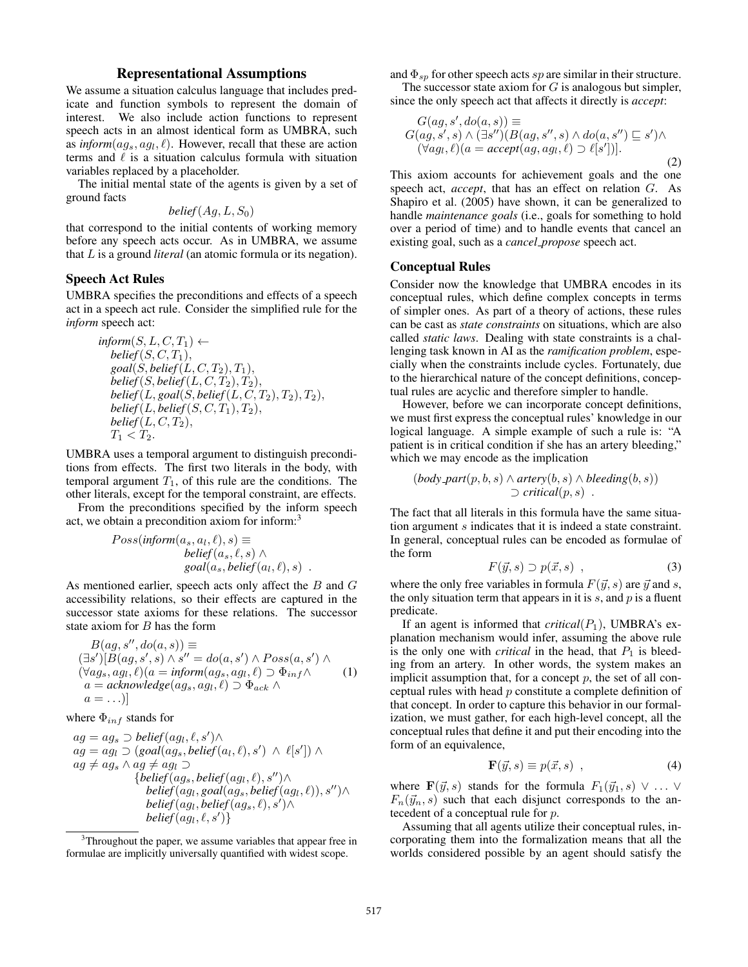## Representational Assumptions

We assume a situation calculus language that includes predicate and function symbols to represent the domain of interest. We also include action functions to represent speech acts in an almost identical form as UMBRA, such as *inform* $(ag_s, ag_l, \ell)$ . However, recall that these are action terms and  $\ell$  is a situation calculus formula with situation variables replaced by a placeholder.

The initial mental state of the agents is given by a set of ground facts

$$
belief(Ag, L, S_0)
$$

that correspond to the initial contents of working memory before any speech acts occur. As in UMBRA, we assume that L is a ground *literal* (an atomic formula or its negation).

### Speech Act Rules

UMBRA specifies the preconditions and effects of a speech act in a speech act rule. Consider the simplified rule for the *inform* speech act:

$$
\begin{array}{l} \n\inf \n\mathit{form}(S, L, C, T_1) \leftarrow \\
\mathit{belief}(S, C, T_1), \\
\mathit{goal}(S, belief(L, C, T_2), T_1), \\
\mathit{belief}(S, belief(L, C, T_2), T_2), \\
\mathit{belief}(L, goal(S, belief(L, C, T_2), T_2), T_2), \\
\mathit{belief}(L, belief(S, C, T_1), T_2), \\
\mathit{belief}(L, C, T_2), \\
T_1 < T_2.\n\end{array}
$$

UMBRA uses a temporal argument to distinguish preconditions from effects. The first two literals in the body, with temporal argument  $T_1$ , of this rule are the conditions. The other literals, except for the temporal constraint, are effects.

From the preconditions specified by the inform speech act, we obtain a precondition axiom for inform:<sup>3</sup>

$$
Poss(inform(a_s, a_l, \ell), s) \equiv
$$
  
\n
$$
belief(a_s, \ell, s) \land
$$
  
\n
$$
goal(a_s, belief(a_l, \ell), s) .
$$

As mentioned earlier, speech acts only affect the B and G accessibility relations, so their effects are captured in the successor state axioms for these relations. The successor state axiom for  $B$  has the form

$$
B(ag, s'', do(a, s)) \equiv
$$
  
\n
$$
(\exists s')[B(ag, s', s) \land s'' = do(a, s') \land Poss(a, s') \land
$$
  
\n
$$
(\forall ag_s, ag_l, \ell)(a = inform(ag_s, ag_l, \ell) \supset \Phi_{inf} \land
$$
  
\n
$$
a = acknowledgement(ag_s, ag_l, \ell) \supset \Phi_{ack} \land
$$
  
\n
$$
a = ...)]
$$
\n(1)

where  $\Phi_{inf}$  stands for

$$
ag = ag_s \supset belief(ag_l, \ell, s') \land ag = ag_l \supset (goal(ag_s, belief(a_l, \ell), s') \land \ell[s']) \land ag \neq ag_s \land ag \neq ag_l \supset {belief(ag_s, belief(ag_l, \ell), s'') \land belief(ag_l, goal(ags, belief(ag_l, \ell)), s'') \land belief(ag_l, belief(ag_s, \ell), s') \land belief(ag_l, \ell, s') }
$$

and  $\Phi_{\rm sn}$  for other speech acts sp are similar in their structure.

The successor state axiom for  $G$  is analogous but simpler, since the only speech act that affects it directly is *accept*:

$$
G(ag, s', do(a, s)) \equiv
$$
  
\n
$$
G(ag, s', s) \land (\exists s'')(B(ag, s'', s) \land do(a, s'') \sqsubseteq s') \land
$$
  
\n
$$
(\forall ag_l, \ell)(a = accept(ag, ag_l, \ell) \supset \ell[s'])].
$$
\n(2)

This axiom accounts for achievement goals and the one speech act, *accept*, that has an effect on relation G. As Shapiro et al. (2005) have shown, it can be generalized to handle *maintenance goals* (i.e., goals for something to hold over a period of time) and to handle events that cancel an existing goal, such as a *cancel propose* speech act.

## Conceptual Rules

Consider now the knowledge that UMBRA encodes in its conceptual rules, which define complex concepts in terms of simpler ones. As part of a theory of actions, these rules can be cast as *state constraints* on situations, which are also called *static laws*. Dealing with state constraints is a challenging task known in AI as the *ramification problem*, especially when the constraints include cycles. Fortunately, due to the hierarchical nature of the concept definitions, conceptual rules are acyclic and therefore simpler to handle.

However, before we can incorporate concept definitions, we must first express the conceptual rules' knowledge in our logical language. A simple example of such a rule is: "A patient is in critical condition if she has an artery bleeding," which we may encode as the implication

$$
(body-part(p, b, s) \land artery(b, s) \land bleeding(b, s))
$$
  
 $\supset$  critical(p, s).

The fact that all literals in this formula have the same situation argument s indicates that it is indeed a state constraint. In general, conceptual rules can be encoded as formulae of the form

$$
F(\vec{y},s) \supset p(\vec{x},s) \quad , \tag{3}
$$

where the only free variables in formula  $F(\vec{y}, s)$  are  $\vec{y}$  and s, the only situation term that appears in it is  $s$ , and  $p$  is a fluent predicate.

If an agent is informed that  $critical(P_1)$ , UMBRA's explanation mechanism would infer, assuming the above rule is the only one with *critical* in the head, that  $P_1$  is bleeding from an artery. In other words, the system makes an implicit assumption that, for a concept  $p$ , the set of all conceptual rules with head p constitute a complete definition of that concept. In order to capture this behavior in our formalization, we must gather, for each high-level concept, all the conceptual rules that define it and put their encoding into the form of an equivalence,

$$
\mathbf{F}(\vec{y},s) \equiv p(\vec{x},s) \quad , \tag{4}
$$

where  $\mathbf{F}(\vec{y}, s)$  stands for the formula  $F_1(\vec{y}_1, s) \vee \ldots \vee$  $F_n(\vec{y}_n, s)$  such that each disjunct corresponds to the antecedent of a conceptual rule for p.

Assuming that all agents utilize their conceptual rules, incorporating them into the formalization means that all the worlds considered possible by an agent should satisfy the

<sup>&</sup>lt;sup>3</sup>Throughout the paper, we assume variables that appear free in formulae are implicitly universally quantified with widest scope.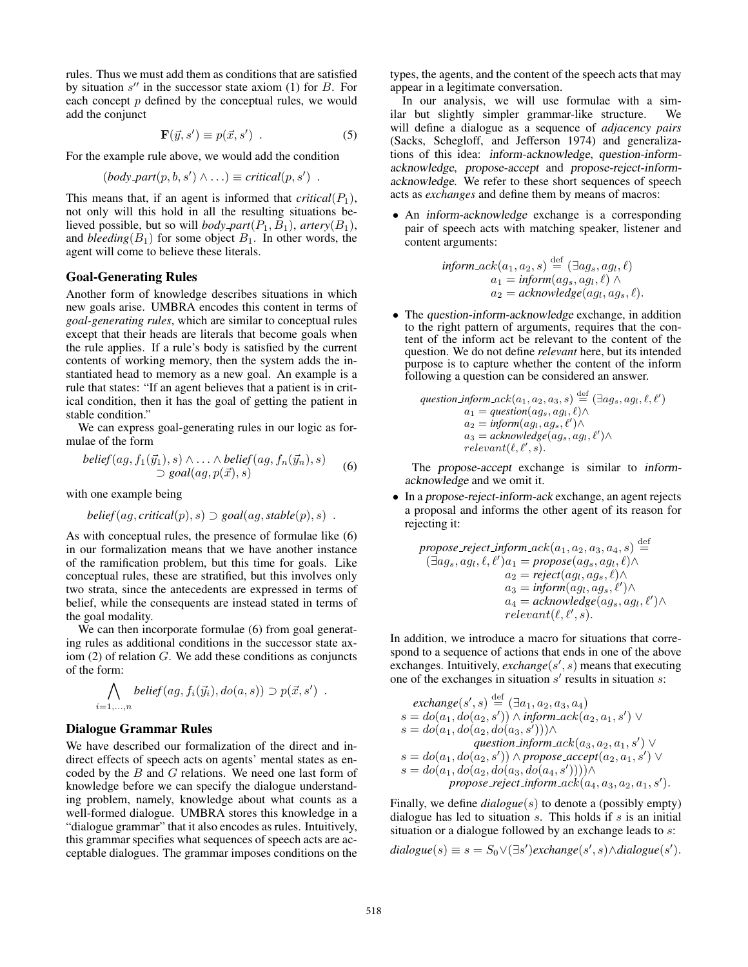rules. Thus we must add them as conditions that are satisfied by situation  $s''$  in the successor state axiom (1) for  $B$ . For each concept  $p$  defined by the conceptual rules, we would add the conjunct

$$
\mathbf{F}(\vec{y}, s') \equiv p(\vec{x}, s') . \tag{5}
$$

For the example rule above, we would add the condition

$$
(body{\text -}part(p, b, s') \wedge \ldots) \equiv critical(p, s') .
$$

This means that, if an agent is informed that  $critical(P_1)$ , not only will this hold in all the resulting situations believed possible, but so will *body\_part* $(P_1, B_1)$ , *artery* $(B_1)$ , and *bleeding*( $B_1$ ) for some object  $B_1$ . In other words, the agent will come to believe these literals.

#### Goal-Generating Rules

Another form of knowledge describes situations in which new goals arise. UMBRA encodes this content in terms of *goal-generating rules*, which are similar to conceptual rules except that their heads are literals that become goals when the rule applies. If a rule's body is satisfied by the current contents of working memory, then the system adds the instantiated head to memory as a new goal. An example is a rule that states: "If an agent believes that a patient is in critical condition, then it has the goal of getting the patient in stable condition."

We can express goal-generating rules in our logic as formulae of the form

$$
belief(ag, f_1(\vec{y}_1), s) \land \dots \land belief(ag, f_n(\vec{y}_n), s)
$$
  
\n
$$
\supset goal(ag, p(\vec{x}), s)
$$
 (6)

with one example being

$$
belief(ag, critical(p), s) \supset goal(ag, stable(p), s) .
$$

As with conceptual rules, the presence of formulae like (6) in our formalization means that we have another instance of the ramification problem, but this time for goals. Like conceptual rules, these are stratified, but this involves only two strata, since the antecedents are expressed in terms of belief, while the consequents are instead stated in terms of the goal modality.

We can then incorporate formulae (6) from goal generating rules as additional conditions in the successor state axiom (2) of relation G. We add these conditions as conjuncts of the form:

$$
\bigwedge_{i=1,\ldots,n} belief(ag, f_i(\vec{y}_i), do(a,s)) \supset p(\vec{x}, s') .
$$

### Dialogue Grammar Rules

We have described our formalization of the direct and indirect effects of speech acts on agents' mental states as encoded by the B and G relations. We need one last form of knowledge before we can specify the dialogue understanding problem, namely, knowledge about what counts as a well-formed dialogue. UMBRA stores this knowledge in a "dialogue grammar" that it also encodes as rules. Intuitively, this grammar specifies what sequences of speech acts are acceptable dialogues. The grammar imposes conditions on the types, the agents, and the content of the speech acts that may appear in a legitimate conversation.

In our analysis, we will use formulae with a similar but slightly simpler grammar-like structure. We will define a dialogue as a sequence of *adjacency pairs* (Sacks, Schegloff, and Jefferson 1974) and generalizations of this idea: inform-acknowledge, question-informacknowledge, propose-accept and propose-reject-informacknowledge. We refer to these short sequences of speech acts as *exchanges* and define them by means of macros:

• An inform-acknowledge exchange is a corresponding pair of speech acts with matching speaker, listener and content arguments:

$$
\begin{array}{ll}\n\textit{inform}\_\textit{ack}(a_1, a_2, s) \stackrel{\text{def}}{=} (\exists a g_s, a g_l, \ell) \\
a_1 = \textit{inform}(a g_s, a g_l, \ell) \land \\
a_2 = \textit{acknowledge}(a g_l, a g_s, \ell).\n\end{array}
$$

• The question-inform-acknowledge exchange, in addition to the right pattern of arguments, requires that the content of the inform act be relevant to the content of the question. We do not define *relevant* here, but its intended purpose is to capture whether the content of the inform following a question can be considered an answer.

$$
\begin{array}{ll}\n\textit{question\_inform\_ack}(a_1, a_2, a_3, s) \stackrel{\text{def}}{=} (\exists ag_s, ag_l, \ell, \ell') \\
a_1 = \textit{question}(ag_s, ag_l, \ell) \land \\
a_2 = \textit{inform}(ag_l, ag_s, \ell') \land \\
a_3 = \textit{acknowledge}(ag_s, ag_l, \ell') \land \\
\textit{relevant}(\ell, \ell', s).\n\end{array}
$$

The propose-accept exchange is similar to informacknowledge and we omit it.

• In a propose-reject-inform-ack exchange, an agent rejects a proposal and informs the other agent of its reason for rejecting it:

$$
\begin{array}{ll} \textit{propose-reject.inform-ack}(a_1,a_2,a_3,a_4,s) \stackrel{\text{def}}{=} \\ (\exists ag_s, ag_l, \ell, \ell')a_1 = \textit{propose}(ag_s, ag_l, \ell) \land \\ a_2 = \textit{reject}(ag_l, ag_s, \ell) \land \\ a_3 = \textit{inform}(ag_l, ag_s, \ell') \land \\ a_4 = \textit{acknowledge}(ag_s, ag_l, \ell') \land \\ \textit{relevant}(\ell, \ell', s). \end{array}
$$

In addition, we introduce a macro for situations that correspond to a sequence of actions that ends in one of the above exchanges. Intuitively,  $\mathit{exchange}(s', s)$  means that executing one of the exchanges in situation  $s'$  results in situation  $s$ :

$$
\begin{array}{c} \mathit{exchange}(s',s) \stackrel{\text{def}}{=} (\exists a_1, a_2, a_3, a_4) \\ s = do(a_1, do(a_2, s')) \land \mathit{inform}.\mathit{ack}(a_2, a_1, s') \lor \\ s = do(a_1, do(a_2, do(a_3, s'))) \land \\ \mathit{question\_inform}.\mathit{ack}(a_3, a_2, a_1, s') \lor \\ s = do(a_1, do(a_2, s')) \land \mathit{propose}.\mathit{accept}(a_2, a_1, s') \lor \\ s = do(a_1, do(a_2, do(a_3, do(a_4, s')))) \land \\ \mathit{propose-reject}.\mathit{inform}.\mathit{ack}(a_4, a_3, a_2, a_1, s'). \end{array}
$$

Finally, we define *dialogue*(s) to denote a (possibly empty) dialogue has led to situation  $s$ . This holds if  $s$  is an initial situation or a dialogue followed by an exchange leads to  $s$ :

$$
dialogue(s) \equiv s = S_0 \vee (\exists s') exchange(s', s) \wedge dialogue(s').
$$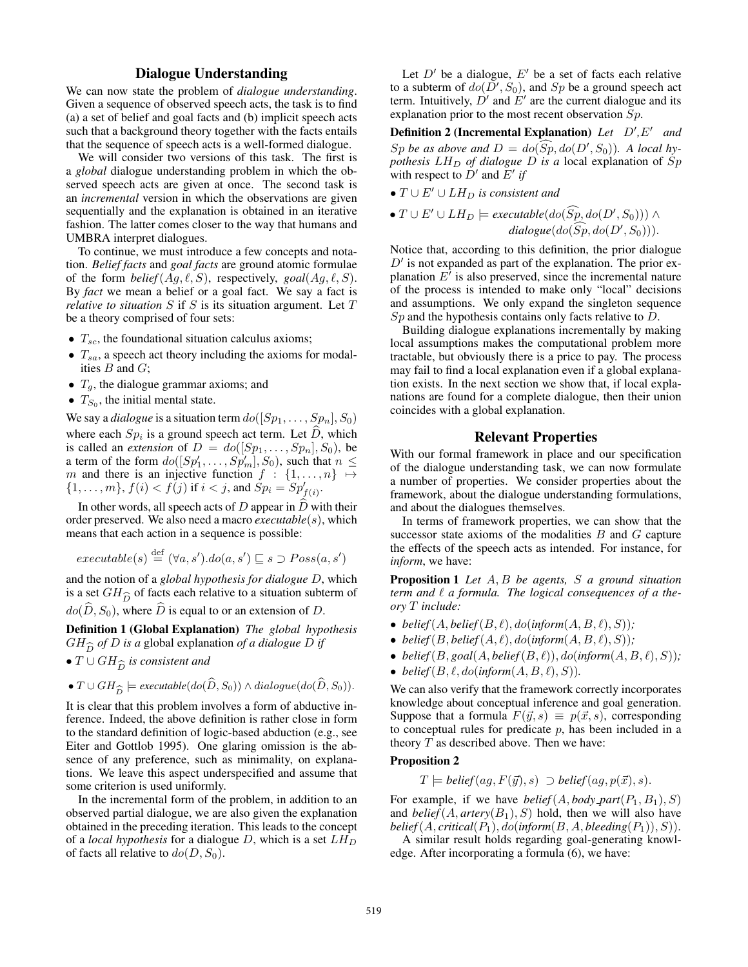## Dialogue Understanding

We can now state the problem of *dialogue understanding*. Given a sequence of observed speech acts, the task is to find (a) a set of belief and goal facts and (b) implicit speech acts such that a background theory together with the facts entails that the sequence of speech acts is a well-formed dialogue.

We will consider two versions of this task. The first is a *global* dialogue understanding problem in which the observed speech acts are given at once. The second task is an *incremental* version in which the observations are given sequentially and the explanation is obtained in an iterative fashion. The latter comes closer to the way that humans and UMBRA interpret dialogues.

To continue, we must introduce a few concepts and notation. *Belief facts* and *goal facts* are ground atomic formulae of the form *belief*( $Ag, \ell, S$ ), respectively, *goal*( $Ag, \ell, S$ ). By *fact* we mean a belief or a goal fact. We say a fact is *relative to situation* S if S is its situation argument. Let T be a theory comprised of four sets:

- $T_{sc}$ , the foundational situation calculus axioms;
- $T_{sa}$ , a speech act theory including the axioms for modalities  $B$  and  $G$ ;
- $T_a$ , the dialogue grammar axioms; and
- $T_{S_0}$ , the initial mental state.

We say a *dialogue* is a situation term  $do([Sp_1, \ldots, Sp_n], S_0)$ where each  $Sp_i$  is a ground speech act term. Let D, which is called an *extension* of  $D = do([Sp_1, \ldots, Sp_n], S_0)$ , be a term of the form  $do([Sp'_1, \ldots, Sp'_m], S_0)$ , such that  $n \leq$ m and there is an injective function  $f : \{1, \ldots, n\} \mapsto$  $\{1, \ldots, m\}, f(i) < f(j)$  if  $i < j$ , and  $Sp_i = Sp'_{f(i)}$ .

In other words, all speech acts of  $D$  appear in  $\hat{D}$  with their order preserved. We also need a macro *executable*(s), which means that each action in a sequence is possible:

$$
executable(s) \stackrel{\text{def}}{=} (\forall a, s').do(a, s') \sqsubseteq s \supset Poss(a, s')
$$

and the notion of a *global hypothesis for dialogue* D, which is a set  $GH_{\widehat{D}}$  of facts each relative to a situation subterm of  $d_{\theta}(\widehat{D}, S_{\theta})$  where  $\widehat{D}$  is equal to or an extension of  $D$  $do(\hat{D}, S_0)$ , where  $\hat{D}$  is equal to or an extension of D.

Definition 1 (Global Explanation) *The global hypothesis*  $GH_{\widehat{D}}$  *of D* is a global explanation *of a dialogue D if*<br>•  $T \cup GH_{\widehat{D}}$  is consistent and

•  $T \cup GH_{\widehat{D}}$  is consistent and

• 
$$
T \cup GH_{\widehat{D}} \models
$$
 *executable* $(do(\widehat{D}, S_0)) \land$  *dialogue* $(do(\widehat{D}, S_0))$ .  
It is clear that this problem involves a form of abductive in-

ference. Indeed, the above definition is rather close in form to the standard definition of logic-based abduction (e.g., see Eiter and Gottlob 1995). One glaring omission is the absence of any preference, such as minimality, on explanations. We leave this aspect underspecified and assume that some criterion is used uniformly.

In the incremental form of the problem, in addition to an observed partial dialogue, we are also given the explanation obtained in the preceding iteration. This leads to the concept of a *local hypothesis* for a dialogue  $D$ , which is a set  $LH_D$ of facts all relative to  $do(D, S_0)$ .

Let  $D'$  be a dialogue,  $E'$  be a set of facts each relative to a subterm of  $do(\overline{D}', S_0)$ , and  $Sp$  be a ground speech act term. Intuitively,  $\dot{D}'$  and  $\dot{E}'$  are the current dialogue and its explanation prior to the most recent observation Sp.

**Definition 2 (Incremental Explanation)** Let  $D', E'$  and  $Sp$  *be as above and*  $D = do(Sp, do(D', S_0))$ *. A local hypothesis*  $LH_D$  *of dialogue*  $D$  *is a* local explanation of  $Sp$ with respect to  $\dot{D}'$  and  $\ddot{E}'$  if

- $T \cup E' \cup LH_D$  *is consistent and*
- $T \cup E' \cup LH_D$   $\models$  *executable* $(do(Sp, do(D', S_0))) \wedge$  $dialogue(do(\widehat{Sp}, do(D', S_0)))$ .

Notice that, according to this definition, the prior dialogue  $D'$  is not expanded as part of the explanation. The prior explanation  $E^{\dagger}$  is also preserved, since the incremental nature of the process is intended to make only "local" decisions and assumptions. We only expand the singleton sequence  $Sp$  and the hypothesis contains only facts relative to  $D$ .

Building dialogue explanations incrementally by making local assumptions makes the computational problem more tractable, but obviously there is a price to pay. The process may fail to find a local explanation even if a global explanation exists. In the next section we show that, if local explanations are found for a complete dialogue, then their union coincides with a global explanation.

## Relevant Properties

With our formal framework in place and our specification of the dialogue understanding task, we can now formulate a number of properties. We consider properties about the framework, about the dialogue understanding formulations, and about the dialogues themselves.

In terms of framework properties, we can show that the successor state axioms of the modalities  $B$  and  $G$  capture the effects of the speech acts as intended. For instance, for *inform*, we have:

Proposition 1 *Let* A, B *be agents,* S *a ground situation term and*  $\ell$  *a formula. The logical consequences of a theory* T *include:*

- *belief* $(A, \text{belief}(B, \ell), \text{do}(\text{inform}(A, B, \ell), S))$ ;
- *belief*( $B$ , *belief*( $A$ ,  $\ell$ ),  $do$ (*inform*( $A$ ,  $B$ ,  $\ell$ ),  $S$ ));
- *belief*( $B$ ,  $goal(A, belief(B, \ell)), do(inform(A, B, \ell), S)$ );
- *belief*( $B, \ell, do$ (*inform*( $A, B, \ell$ ), S)).

We can also verify that the framework correctly incorporates knowledge about conceptual inference and goal generation. Suppose that a formula  $F(\vec{y}, s) \equiv p(\vec{x}, s)$ , corresponding to conceptual rules for predicate  $p$ , has been included in a theory  $T$  as described above. Then we have:

#### Proposition 2

 $T \models belief(ag, F(\vec{y}), s) \supset belief(ag, p(\vec{x}), s).$ 

For example, if we have *belief*( $A$ , *body\_part*( $P_1$ ,  $B_1$ ),  $S$ ) and *belief* $(A, \text{artery}(B_1), S)$  hold, then we will also have  $belief(A, critical(P_1), do(inform(B, A, bleeding(P_1)), S)).$ 

A similar result holds regarding goal-generating knowledge. After incorporating a formula (6), we have: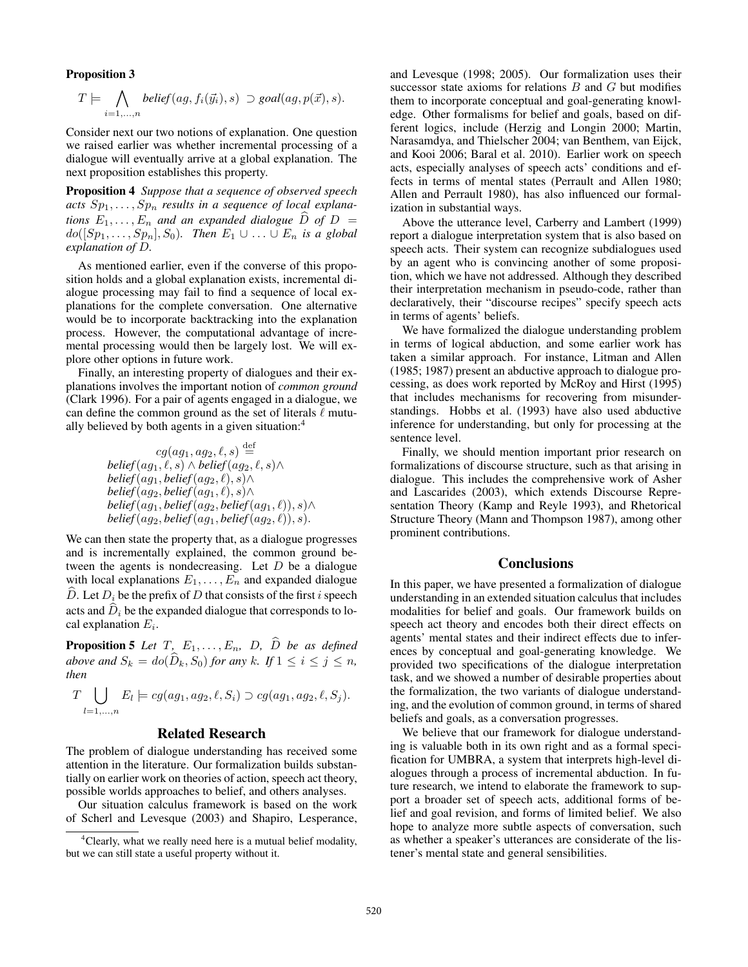#### Proposition 3

$$
T \models \bigwedge_{i=1,\dots,n} \text{belief}(ag, f_i(\vec{y}_i), s) \supset \text{goal}(ag, p(\vec{x}), s).
$$

Consider next our two notions of explanation. One question we raised earlier was whether incremental processing of a dialogue will eventually arrive at a global explanation. The next proposition establishes this property.

Proposition 4 *Suppose that a sequence of observed speech* acts  $Sp_1, \ldots, Sp_n$  results in a sequence of local explana*tions*  $E_1, \ldots, E_n$  *and an expanded dialogue*  $\hat{D}$  *of*  $D =$  $do([Sp_1, \ldots, Sp_n], S_0)$ . Then  $E_1 \cup \ldots \cup E_n$  is a global *explanation of* D*.*

As mentioned earlier, even if the converse of this proposition holds and a global explanation exists, incremental dialogue processing may fail to find a sequence of local explanations for the complete conversation. One alternative would be to incorporate backtracking into the explanation process. However, the computational advantage of incremental processing would then be largely lost. We will explore other options in future work.

Finally, an interesting property of dialogues and their explanations involves the important notion of *common ground* (Clark 1996). For a pair of agents engaged in a dialogue, we can define the common ground as the set of literals  $\ell$  mutually believed by both agents in a given situation:<sup>4</sup>

$$
cg(ag_1, ag_2, \ell, s) \stackrel{\text{def}}{\leftarrow} \text{belief}(ag_1, \ell, s) \land \text{belief}(ag_2, \ell, s) \land \\ \text{belief}(ag_1, \text{belief}(ag_2, \ell), s) \land \\ \text{belief}(ag_2, \text{belief}(ag_1, \ell), s) \land \\ \text{belief}(ag_1, \text{belief}(ag_2, \text{belief}(ag_1, \ell)), s) \land \\ \text{belief}(ag_2, \text{belief}(ag_1, \text{belief}(ag_2, \ell)), s).
$$

We can then state the property that, as a dialogue progresses and is incrementally explained, the common ground between the agents is nondecreasing. Let  $D$  be a dialogue with local explanations  $E_1, \ldots, E_n$  and expanded dialogue D. Let  $D_i$  be the prefix of D that consists of the first i speech acts and  $\hat{D}_i$  be the expanded dialogue that corresponds to local explanation  $E_i$ .

**Proposition 5** Let T,  $E_1, \ldots, E_n$ , D,  $\widehat{D}$  be as defined *above and*  $S_k = do(\widehat{D}_k, S_0)$  *for any* k*.* If  $1 \leq i \leq j \leq n$ , *then*

$$
T \bigcup_{l=1,\ldots,n} E_l \models cg(ag_1, ag_2, \ell, S_i) \supset cg(ag_1, ag_2, \ell, S_j).
$$

### Related Research

The problem of dialogue understanding has received some attention in the literature. Our formalization builds substantially on earlier work on theories of action, speech act theory, possible worlds approaches to belief, and others analyses.

Our situation calculus framework is based on the work of Scherl and Levesque (2003) and Shapiro, Lesperance,

and Levesque (1998; 2005). Our formalization uses their successor state axioms for relations  $B$  and  $G$  but modifies them to incorporate conceptual and goal-generating knowledge. Other formalisms for belief and goals, based on different logics, include (Herzig and Longin 2000; Martin, Narasamdya, and Thielscher 2004; van Benthem, van Eijck, and Kooi 2006; Baral et al. 2010). Earlier work on speech acts, especially analyses of speech acts' conditions and effects in terms of mental states (Perrault and Allen 1980; Allen and Perrault 1980), has also influenced our formalization in substantial ways.

Above the utterance level, Carberry and Lambert (1999) report a dialogue interpretation system that is also based on speech acts. Their system can recognize subdialogues used by an agent who is convincing another of some proposition, which we have not addressed. Although they described their interpretation mechanism in pseudo-code, rather than declaratively, their "discourse recipes" specify speech acts in terms of agents' beliefs.

We have formalized the dialogue understanding problem in terms of logical abduction, and some earlier work has taken a similar approach. For instance, Litman and Allen (1985; 1987) present an abductive approach to dialogue processing, as does work reported by McRoy and Hirst (1995) that includes mechanisms for recovering from misunderstandings. Hobbs et al. (1993) have also used abductive inference for understanding, but only for processing at the sentence level.

Finally, we should mention important prior research on formalizations of discourse structure, such as that arising in dialogue. This includes the comprehensive work of Asher and Lascarides (2003), which extends Discourse Representation Theory (Kamp and Reyle 1993), and Rhetorical Structure Theory (Mann and Thompson 1987), among other prominent contributions.

### **Conclusions**

In this paper, we have presented a formalization of dialogue understanding in an extended situation calculus that includes modalities for belief and goals. Our framework builds on speech act theory and encodes both their direct effects on agents' mental states and their indirect effects due to inferences by conceptual and goal-generating knowledge. We provided two specifications of the dialogue interpretation task, and we showed a number of desirable properties about the formalization, the two variants of dialogue understanding, and the evolution of common ground, in terms of shared beliefs and goals, as a conversation progresses.

We believe that our framework for dialogue understanding is valuable both in its own right and as a formal specification for UMBRA, a system that interprets high-level dialogues through a process of incremental abduction. In future research, we intend to elaborate the framework to support a broader set of speech acts, additional forms of belief and goal revision, and forms of limited belief. We also hope to analyze more subtle aspects of conversation, such as whether a speaker's utterances are considerate of the listener's mental state and general sensibilities.

<sup>&</sup>lt;sup>4</sup>Clearly, what we really need here is a mutual belief modality, but we can still state a useful property without it.